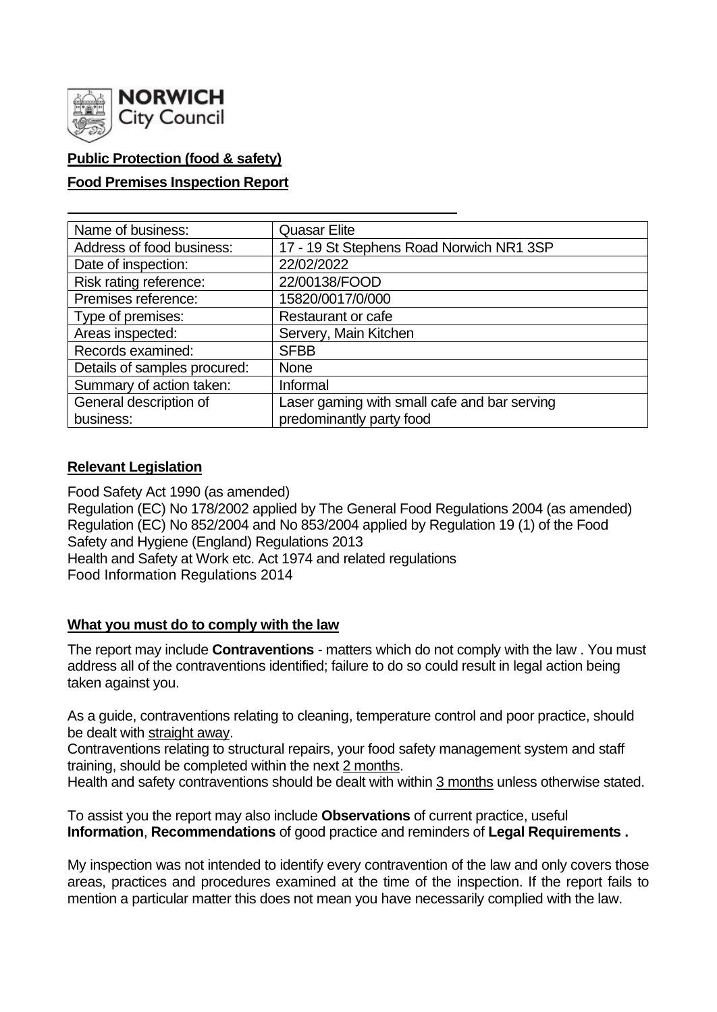

# **Public Protection (food & safety)**

# **Food Premises Inspection Report**

| Name of business:            | <b>Quasar Elite</b>                          |  |  |  |  |
|------------------------------|----------------------------------------------|--|--|--|--|
| Address of food business:    | 17 - 19 St Stephens Road Norwich NR1 3SP     |  |  |  |  |
| Date of inspection:          | 22/02/2022                                   |  |  |  |  |
| Risk rating reference:       | 22/00138/FOOD                                |  |  |  |  |
| Premises reference:          | 15820/0017/0/000                             |  |  |  |  |
| Type of premises:            | Restaurant or cafe                           |  |  |  |  |
| Areas inspected:             | Servery, Main Kitchen                        |  |  |  |  |
| Records examined:            | <b>SFBB</b>                                  |  |  |  |  |
| Details of samples procured: | <b>None</b>                                  |  |  |  |  |
| Summary of action taken:     | Informal                                     |  |  |  |  |
| General description of       | Laser gaming with small cafe and bar serving |  |  |  |  |
| business:                    | predominantly party food                     |  |  |  |  |

# **Relevant Legislation**

Food Safety Act 1990 (as amended) Regulation (EC) No 178/2002 applied by The General Food Regulations 2004 (as amended) Regulation (EC) No 852/2004 and No 853/2004 applied by Regulation 19 (1) of the Food Safety and Hygiene (England) Regulations 2013 Health and Safety at Work etc. Act 1974 and related regulations Food Information Regulations 2014

# **What you must do to comply with the law**

The report may include **Contraventions** - matters which do not comply with the law . You must address all of the contraventions identified; failure to do so could result in legal action being taken against you.

As a guide, contraventions relating to cleaning, temperature control and poor practice, should be dealt with straight away.

Contraventions relating to structural repairs, your food safety management system and staff training, should be completed within the next 2 months.

Health and safety contraventions should be dealt with within 3 months unless otherwise stated.

To assist you the report may also include **Observations** of current practice, useful **Information**, **Recommendations** of good practice and reminders of **Legal Requirements .**

My inspection was not intended to identify every contravention of the law and only covers those areas, practices and procedures examined at the time of the inspection. If the report fails to mention a particular matter this does not mean you have necessarily complied with the law.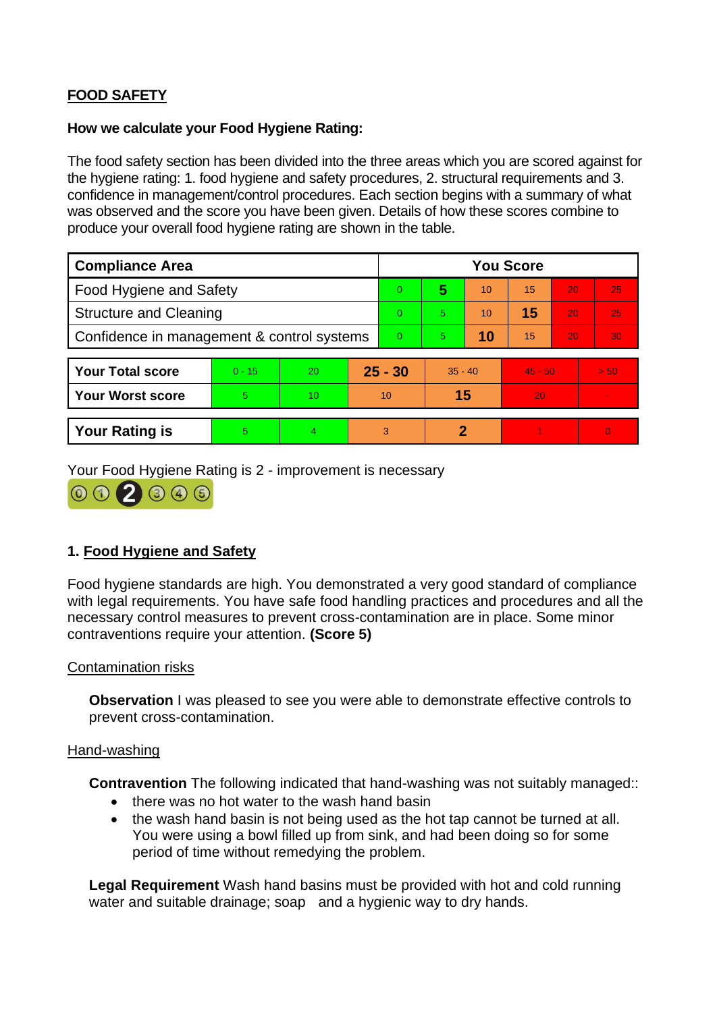# **FOOD SAFETY**

### **How we calculate your Food Hygiene Rating:**

The food safety section has been divided into the three areas which you are scored against for the hygiene rating: 1. food hygiene and safety procedures, 2. structural requirements and 3. confidence in management/control procedures. Each section begins with a summary of what was observed and the score you have been given. Details of how these scores combine to produce your overall food hygiene rating are shown in the table.

| <b>Compliance Area</b>                     |          |    |           | <b>You Score</b> |           |    |           |    |      |  |  |
|--------------------------------------------|----------|----|-----------|------------------|-----------|----|-----------|----|------|--|--|
| <b>Food Hygiene and Safety</b>             |          |    |           | 0                | 5         | 10 | 15        | 20 | 25   |  |  |
| <b>Structure and Cleaning</b>              |          |    |           | $\Omega$         | 5.        | 10 | 15        | 20 | 25   |  |  |
| Confidence in management & control systems |          |    |           | $\overline{0}$   | 5.        | 10 | 15        | 20 | 30   |  |  |
|                                            |          |    |           |                  |           |    |           |    |      |  |  |
| <b>Your Total score</b>                    | $0 - 15$ | 20 | $25 - 30$ |                  | $35 - 40$ |    | $45 - 50$ |    | > 50 |  |  |
| <b>Your Worst score</b>                    | 5        | 10 | 10        |                  | 15        |    | 20        |    |      |  |  |
|                                            |          |    |           |                  |           |    |           |    |      |  |  |
| <b>Your Rating is</b>                      | 5        | 4  |           | 3                | 2         |    |           |    | 0    |  |  |

Your Food Hygiene Rating is 2 - improvement is necessary



# **1. Food Hygiene and Safety**

Food hygiene standards are high. You demonstrated a very good standard of compliance with legal requirements. You have safe food handling practices and procedures and all the necessary control measures to prevent cross-contamination are in place. Some minor contraventions require your attention. **(Score 5)**

# Contamination risks

**Observation** I was pleased to see you were able to demonstrate effective controls to prevent cross-contamination.

#### Hand-washing

**Contravention** The following indicated that hand-washing was not suitably managed::

- there was no hot water to the wash hand basin
- the wash hand basin is not being used as the hot tap cannot be turned at all. You were using a bowl filled up from sink, and had been doing so for some period of time without remedying the problem.

**Legal Requirement** Wash hand basins must be provided with hot and cold running water and suitable drainage; soap and a hygienic way to dry hands.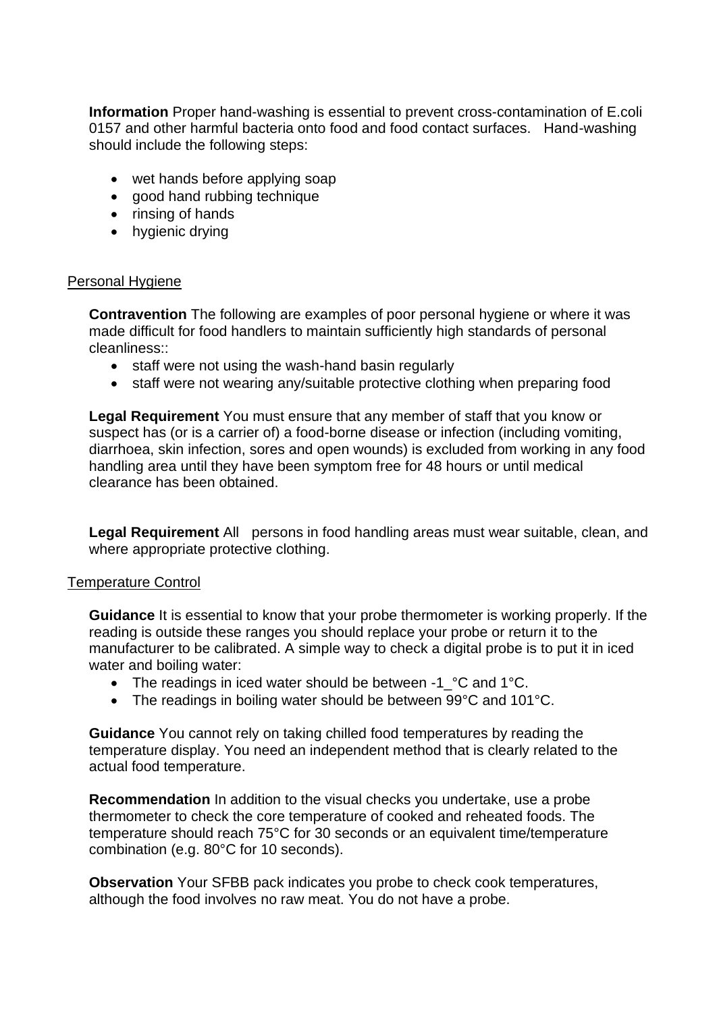**Information** Proper hand-washing is essential to prevent cross-contamination of E.coli 0157 and other harmful bacteria onto food and food contact surfaces. Hand-washing should include the following steps:

- wet hands before applying soap
- good hand rubbing technique
- rinsing of hands
- hygienic drying

#### Personal Hygiene

**Contravention** The following are examples of poor personal hygiene or where it was made difficult for food handlers to maintain sufficiently high standards of personal cleanliness::

- staff were not using the wash-hand basin regularly
- staff were not wearing any/suitable protective clothing when preparing food

**Legal Requirement** You must ensure that any member of staff that you know or suspect has (or is a carrier of) a food-borne disease or infection (including vomiting, diarrhoea, skin infection, sores and open wounds) is excluded from working in any food handling area until they have been symptom free for 48 hours or until medical clearance has been obtained.

**Legal Requirement** All persons in food handling areas must wear suitable, clean, and where appropriate protective clothing.

#### Temperature Control

**Guidance** It is essential to know that your probe thermometer is working properly. If the reading is outside these ranges you should replace your probe or return it to the manufacturer to be calibrated. A simple way to check a digital probe is to put it in iced water and boiling water:

- The readings in iced water should be between -1 °C and 1°C.
- The readings in boiling water should be between 99°C and 101°C.

**Guidance** You cannot rely on taking chilled food temperatures by reading the temperature display. You need an independent method that is clearly related to the actual food temperature.

**Recommendation** In addition to the visual checks you undertake, use a probe thermometer to check the core temperature of cooked and reheated foods. The temperature should reach 75°C for 30 seconds or an equivalent time/temperature combination (e.g. 80°C for 10 seconds).

**Observation** Your SFBB pack indicates you probe to check cook temperatures, although the food involves no raw meat. You do not have a probe.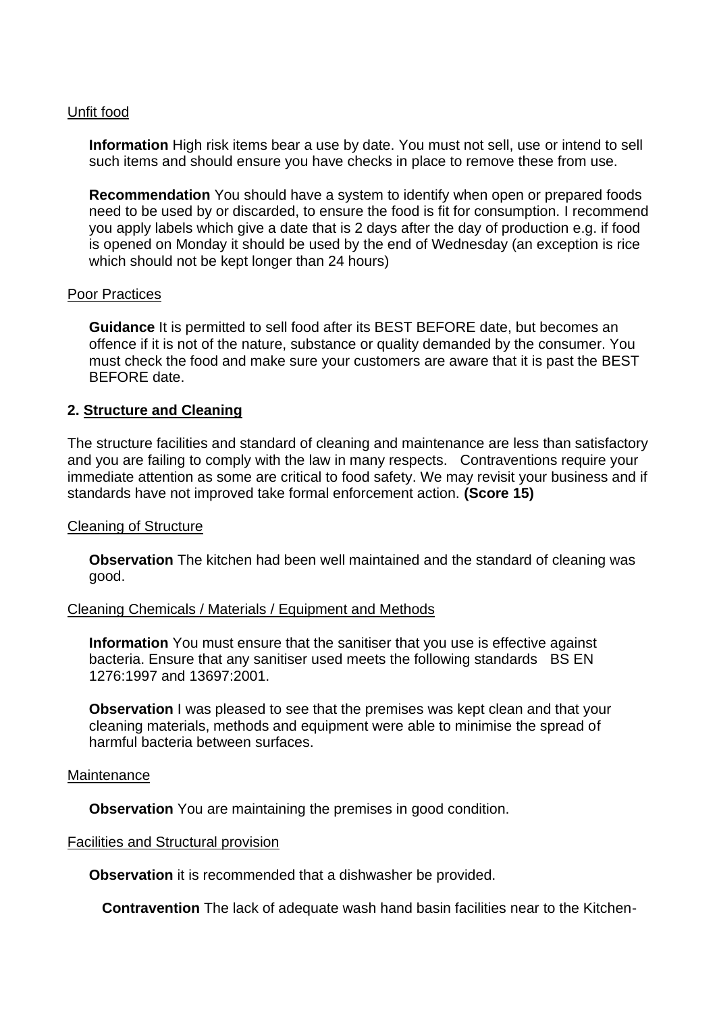### Unfit food

**Information** High risk items bear a use by date. You must not sell, use or intend to sell such items and should ensure you have checks in place to remove these from use.

**Recommendation** You should have a system to identify when open or prepared foods need to be used by or discarded, to ensure the food is fit for consumption. I recommend you apply labels which give a date that is 2 days after the day of production e.g. if food is opened on Monday it should be used by the end of Wednesday (an exception is rice which should not be kept longer than 24 hours)

#### Poor Practices

**Guidance** It is permitted to sell food after its BEST BEFORE date, but becomes an offence if it is not of the nature, substance or quality demanded by the consumer. You must check the food and make sure your customers are aware that it is past the BEST BEFORE date.

### **2. Structure and Cleaning**

The structure facilities and standard of cleaning and maintenance are less than satisfactory and you are failing to comply with the law in many respects. Contraventions require your immediate attention as some are critical to food safety. We may revisit your business and if standards have not improved take formal enforcement action. **(Score 15)**

#### Cleaning of Structure

**Observation** The kitchen had been well maintained and the standard of cleaning was good.

#### Cleaning Chemicals / Materials / Equipment and Methods

**Information** You must ensure that the sanitiser that you use is effective against bacteria. Ensure that any sanitiser used meets the following standards BS EN 1276:1997 and 13697:2001.

**Observation** I was pleased to see that the premises was kept clean and that your cleaning materials, methods and equipment were able to minimise the spread of harmful bacteria between surfaces.

#### **Maintenance**

**Observation** You are maintaining the premises in good condition.

#### Facilities and Structural provision

**Observation** it is recommended that a dishwasher be provided.

 **Contravention** The lack of adequate wash hand basin facilities near to the Kitchen-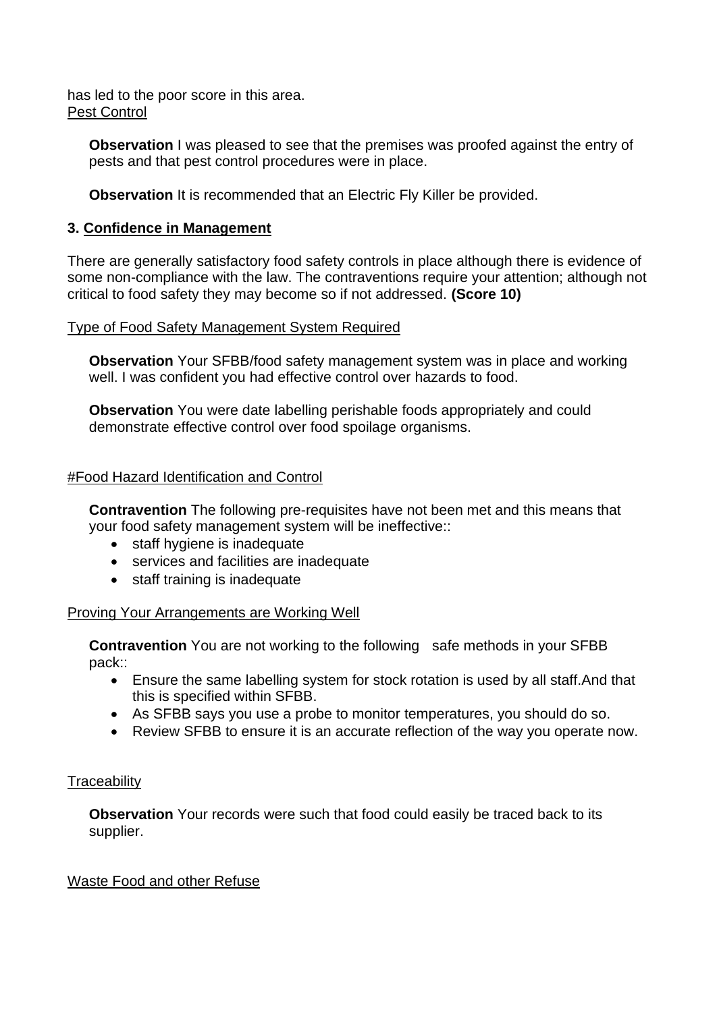has led to the poor score in this area. Pest Control

**Observation** I was pleased to see that the premises was proofed against the entry of pests and that pest control procedures were in place.

**Observation** It is recommended that an Electric Fly Killer be provided.

# **3. Confidence in Management**

There are generally satisfactory food safety controls in place although there is evidence of some non-compliance with the law. The contraventions require your attention; although not critical to food safety they may become so if not addressed. **(Score 10)**

### Type of Food Safety Management System Required

**Observation** Your SFBB/food safety management system was in place and working well. I was confident you had effective control over hazards to food.

**Observation** You were date labelling perishable foods appropriately and could demonstrate effective control over food spoilage organisms.

### #Food Hazard Identification and Control

**Contravention** The following pre-requisites have not been met and this means that your food safety management system will be ineffective::

- staff hygiene is inadequate
- services and facilities are inadequate
- staff training is inadequate

# Proving Your Arrangements are Working Well

**Contravention** You are not working to the following safe methods in your SFBB pack::

- Ensure the same labelling system for stock rotation is used by all staff.And that this is specified within SFBB.
- As SFBB says you use a probe to monitor temperatures, you should do so.
- Review SFBB to ensure it is an accurate reflection of the way you operate now.

# **Traceability**

**Observation** Your records were such that food could easily be traced back to its supplier.

# Waste Food and other Refuse